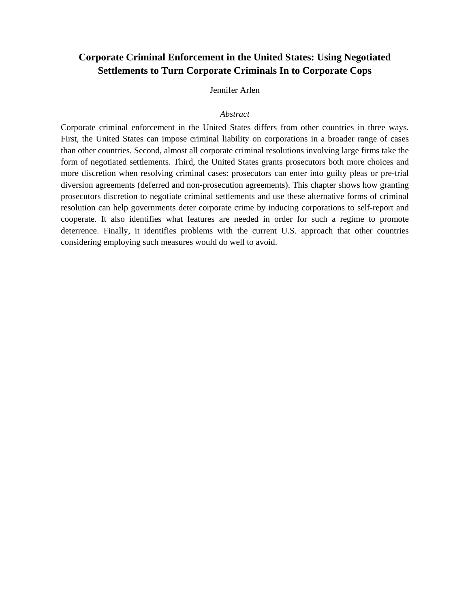# **Corporate Criminal Enforcement in the United States: Using Negotiated Settlements to Turn Corporate Criminals In to Corporate Cops**

## Jennifer Arlen

## *Abstract*

Corporate criminal enforcement in the United States differs from other countries in three ways. First, the United States can impose criminal liability on corporations in a broader range of cases than other countries. Second, almost all corporate criminal resolutions involving large firms take the form of negotiated settlements. Third, the United States grants prosecutors both more choices and more discretion when resolving criminal cases: prosecutors can enter into guilty pleas or pre-trial diversion agreements (deferred and non-prosecution agreements). This chapter shows how granting prosecutors discretion to negotiate criminal settlements and use these alternative forms of criminal resolution can help governments deter corporate crime by inducing corporations to self-report and cooperate. It also identifies what features are needed in order for such a regime to promote deterrence. Finally, it identifies problems with the current U.S. approach that other countries considering employing such measures would do well to avoid.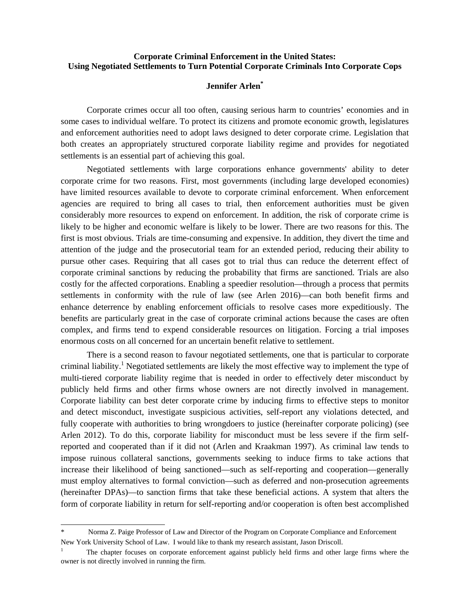## **Corporate Criminal Enforcement in the United States: Using Negotiated Settlements to Turn Potential Corporate Criminals Into Corporate Cops**

## **Jennifer Arlen\***

Corporate crimes occur all too often, causing serious harm to countries' economies and in some cases to individual welfare. To protect its citizens and promote economic growth, legislatures and enforcement authorities need to adopt laws designed to deter corporate crime. Legislation that both creates an appropriately structured corporate liability regime and provides for negotiated settlements is an essential part of achieving this goal.

Negotiated settlements with large corporations enhance governments' ability to deter corporate crime for two reasons. First, most governments (including large developed economies) have limited resources available to devote to corporate criminal enforcement. When enforcement agencies are required to bring all cases to trial, then enforcement authorities must be given considerably more resources to expend on enforcement. In addition, the risk of corporate crime is likely to be higher and economic welfare is likely to be lower. There are two reasons for this. The first is most obvious. Trials are time-consuming and expensive. In addition, they divert the time and attention of the judge and the prosecutorial team for an extended period, reducing their ability to pursue other cases. Requiring that all cases got to trial thus can reduce the deterrent effect of corporate criminal sanctions by reducing the probability that firms are sanctioned. Trials are also costly for the affected corporations. Enabling a speedier resolution—through a process that permits settlements in conformity with the rule of law (see Arlen 2016)—can both benefit firms and enhance deterrence by enabling enforcement officials to resolve cases more expeditiously. The benefits are particularly great in the case of corporate criminal actions because the cases are often complex, and firms tend to expend considerable resources on litigation. Forcing a trial imposes enormous costs on all concerned for an uncertain benefit relative to settlement.

There is a second reason to favour negotiated settlements, one that is particular to corporate criminal liability.<sup>1</sup> Negotiated settlements are likely the most effective way to implement the type of multi-tiered corporate liability regime that is needed in order to effectively deter misconduct by publicly held firms and other firms whose owners are not directly involved in management. Corporate liability can best deter corporate crime by inducing firms to effective steps to monitor and detect misconduct, investigate suspicious activities, self-report any violations detected, and fully cooperate with authorities to bring wrongdoers to justice (hereinafter corporate policing) (see Arlen 2012). To do this, corporate liability for misconduct must be less severe if the firm selfreported and cooperated than if it did not (Arlen and Kraakman 1997). As criminal law tends to impose ruinous collateral sanctions, governments seeking to induce firms to take actions that increase their likelihood of being sanctioned—such as self-reporting and cooperation—generally must employ alternatives to formal conviction—such as deferred and non-prosecution agreements (hereinafter DPAs)—to sanction firms that take these beneficial actions. A system that alters the form of corporate liability in return for self-reporting and/or cooperation is often best accomplished

l

Norma Z. Paige Professor of Law and Director of the Program on Corporate Compliance and Enforcement New York University School of Law. I would like to thank my research assistant, Jason Driscoll.

<sup>1</sup> The chapter focuses on corporate enforcement against publicly held firms and other large firms where the owner is not directly involved in running the firm.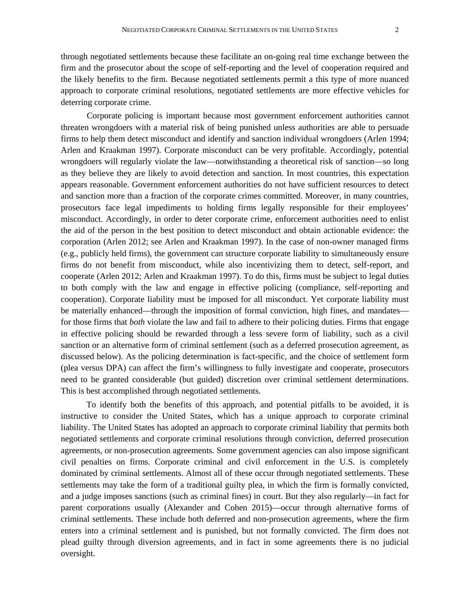through negotiated settlements because these facilitate an on-going real time exchange between the firm and the prosecutor about the scope of self-reporting and the level of cooperation required and the likely benefits to the firm. Because negotiated settlements permit a this type of more nuanced approach to corporate criminal resolutions, negotiated settlements are more effective vehicles for deterring corporate crime.

Corporate policing is important because most government enforcement authorities cannot threaten wrongdoers with a material risk of being punished unless authorities are able to persuade firms to help them detect misconduct and identify and sanction individual wrongdoers (Arlen 1994; Arlen and Kraakman 1997). Corporate misconduct can be very profitable. Accordingly, potential wrongdoers will regularly violate the law—notwithstanding a theoretical risk of sanction—so long as they believe they are likely to avoid detection and sanction. In most countries, this expectation appears reasonable. Government enforcement authorities do not have sufficient resources to detect and sanction more than a fraction of the corporate crimes committed. Moreover, in many countries, prosecutors face legal impediments to holding firms legally responsible for their employees' misconduct. Accordingly, in order to deter corporate crime, enforcement authorities need to enlist the aid of the person in the best position to detect misconduct and obtain actionable evidence: the corporation (Arlen 2012; see Arlen and Kraakman 1997). In the case of non-owner managed firms (e.g., publicly held firms), the government can structure corporate liability to simultaneously ensure firms do not benefit from misconduct, while also incentivizing them to detect, self-report, and cooperate (Arlen 2012; Arlen and Kraakman 1997). To do this, firms must be subject to legal duties to both comply with the law and engage in effective policing (compliance, self-reporting and cooperation). Corporate liability must be imposed for all misconduct. Yet corporate liability must be materially enhanced—through the imposition of formal conviction, high fines, and mandates for those firms that *both* violate the law and fail to adhere to their policing duties. Firms that engage in effective policing should be rewarded through a less severe form of liability, such as a civil sanction or an alternative form of criminal settlement (such as a deferred prosecution agreement, as discussed below). As the policing determination is fact-specific, and the choice of settlement form (plea versus DPA) can affect the firm's willingness to fully investigate and cooperate, prosecutors need to be granted considerable (but guided) discretion over criminal settlement determinations. This is best accomplished through negotiated settlements.

To identify both the benefits of this approach, and potential pitfalls to be avoided, it is instructive to consider the United States, which has a unique approach to corporate criminal liability. The United States has adopted an approach to corporate criminal liability that permits both negotiated settlements and corporate criminal resolutions through conviction, deferred prosecution agreements, or non-prosecution agreements. Some government agencies can also impose significant civil penalties on firms. Corporate criminal and civil enforcement in the U.S. is completely dominated by criminal settlements. Almost all of these occur through negotiated settlements. These settlements may take the form of a traditional guilty plea, in which the firm is formally convicted, and a judge imposes sanctions (such as criminal fines) in court. But they also regularly—in fact for parent corporations usually (Alexander and Cohen 2015)—occur through alternative forms of criminal settlements. These include both deferred and non-prosecution agreements, where the firm enters into a criminal settlement and is punished, but not formally convicted. The firm does not plead guilty through diversion agreements, and in fact in some agreements there is no judicial oversight.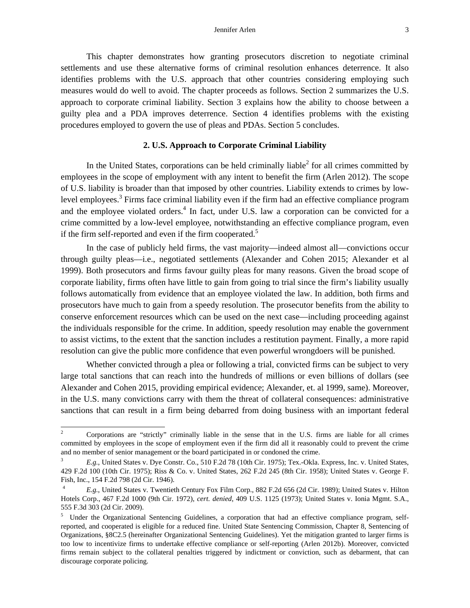This chapter demonstrates how granting prosecutors discretion to negotiate criminal settlements and use these alternative forms of criminal resolution enhances deterrence. It also identifies problems with the U.S. approach that other countries considering employing such measures would do well to avoid. The chapter proceeds as follows. Section 2 summarizes the U.S. approach to corporate criminal liability. Section 3 explains how the ability to choose between a guilty plea and a PDA improves deterrence. Section 4 identifies problems with the existing procedures employed to govern the use of pleas and PDAs. Section 5 concludes.

#### **2. U.S. Approach to Corporate Criminal Liability**

In the United States, corporations can be held criminally liable $2$  for all crimes committed by employees in the scope of employment with any intent to benefit the firm (Arlen 2012). The scope of U.S. liability is broader than that imposed by other countries. Liability extends to crimes by lowlevel employees.<sup>3</sup> Firms face criminal liability even if the firm had an effective compliance program and the employee violated orders.<sup>4</sup> In fact, under U.S. law a corporation can be convicted for a crime committed by a low-level employee, notwithstanding an effective compliance program, even if the firm self-reported and even if the firm cooperated.<sup>5</sup>

In the case of publicly held firms, the vast majority—indeed almost all—convictions occur through guilty pleas—i.e., negotiated settlements (Alexander and Cohen 2015; Alexander et al 1999). Both prosecutors and firms favour guilty pleas for many reasons. Given the broad scope of corporate liability, firms often have little to gain from going to trial since the firm's liability usually follows automatically from evidence that an employee violated the law. In addition, both firms and prosecutors have much to gain from a speedy resolution. The prosecutor benefits from the ability to conserve enforcement resources which can be used on the next case—including proceeding against the individuals responsible for the crime. In addition, speedy resolution may enable the government to assist victims, to the extent that the sanction includes a restitution payment. Finally, a more rapid resolution can give the public more confidence that even powerful wrongdoers will be punished.

Whether convicted through a plea or following a trial, convicted firms can be subject to very large total sanctions that can reach into the hundreds of millions or even billions of dollars (see Alexander and Cohen 2015, providing empirical evidence; Alexander, et. al 1999, same). Moreover, in the U.S. many convictions carry with them the threat of collateral consequences: administrative sanctions that can result in a firm being debarred from doing business with an important federal

<sup>&</sup>lt;sup>2</sup> Corporations are "strictly" criminally liable in the sense that in the U.S. firms are liable for all crimes committed by employees in the scope of employment even if the firm did all it reasonably could to prevent the crime and no member of senior management or the board participated in or condoned the crime.

<sup>3</sup> *E.g.*, United States v. Dye Constr. Co., 510 F.2d 78 (10th Cir. 1975); Tex.-Okla. Express, Inc. v. United States, 429 F.2d 100 (10th Cir. 1975); Riss & Co. v. United States, 262 F.2d 245 (8th Cir. 1958); United States v. George F. Fish, Inc., 154 F.2d 798 (2d Cir. 1946).

<sup>4</sup> *E.g.*, United States v. Twentieth Century Fox Film Corp., 882 F.2d 656 (2d Cir. 1989); United States v. Hilton Hotels Corp., 467 F.2d 1000 (9th Cir. 1972), *cert. denied*, 409 U.S. 1125 (1973); United States v. Ionia Mgmt. S.A., 555 F.3d 303 (2d Cir. 2009).

<sup>&</sup>lt;sup>5</sup> Under the Organizational Sentencing Guidelines, a corporation that had an effective compliance program, selfreported, and cooperated is eligible for a reduced fine. United State Sentencing Commission, Chapter 8, Sentencing of Organizations, §8C2.5 (hereinafter Organizational Sentencing Guidelines). Yet the mitigation granted to larger firms is too low to incentivize firms to undertake effective compliance or self-reporting (Arlen 2012b). Moreover, convicted firms remain subject to the collateral penalties triggered by indictment or conviction, such as debarment, that can discourage corporate policing.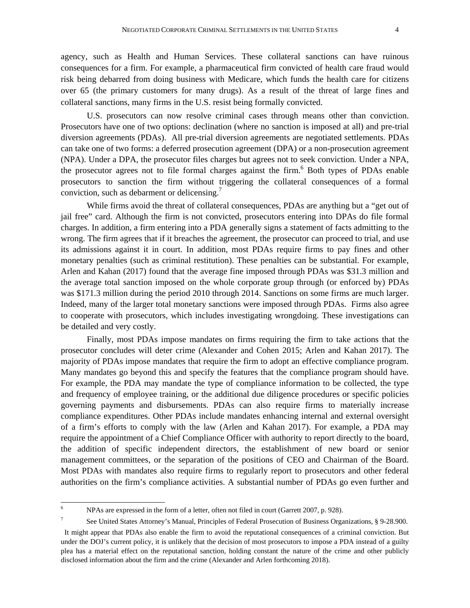agency, such as Health and Human Services. These collateral sanctions can have ruinous consequences for a firm. For example, a pharmaceutical firm convicted of health care fraud would risk being debarred from doing business with Medicare, which funds the health care for citizens over 65 (the primary customers for many drugs). As a result of the threat of large fines and collateral sanctions, many firms in the U.S. resist being formally convicted.

U.S. prosecutors can now resolve criminal cases through means other than conviction. Prosecutors have one of two options: declination (where no sanction is imposed at all) and pre-trial diversion agreements (PDAs). All pre-trial diversion agreements are negotiated settlements. PDAs can take one of two forms: a deferred prosecution agreement (DPA) or a non-prosecution agreement (NPA). Under a DPA, the prosecutor files charges but agrees not to seek conviction. Under a NPA, the prosecutor agrees not to file formal charges against the firm.<sup>6</sup> Both types of PDAs enable prosecutors to sanction the firm without triggering the collateral consequences of a formal conviction, such as debarment or delicensing.<sup>7</sup>

While firms avoid the threat of collateral consequences, PDAs are anything but a "get out of jail free" card. Although the firm is not convicted, prosecutors entering into DPAs do file formal charges. In addition, a firm entering into a PDA generally signs a statement of facts admitting to the wrong. The firm agrees that if it breaches the agreement, the prosecutor can proceed to trial, and use its admissions against it in court. In addition, most PDAs require firms to pay fines and other monetary penalties (such as criminal restitution). These penalties can be substantial. For example, Arlen and Kahan (2017) found that the average fine imposed through PDAs was \$31.3 million and the average total sanction imposed on the whole corporate group through (or enforced by) PDAs was \$171.3 million during the period 2010 through 2014. Sanctions on some firms are much larger. Indeed, many of the larger total monetary sanctions were imposed through PDAs. Firms also agree to cooperate with prosecutors, which includes investigating wrongdoing. These investigations can be detailed and very costly.

Finally, most PDAs impose mandates on firms requiring the firm to take actions that the prosecutor concludes will deter crime (Alexander and Cohen 2015; Arlen and Kahan 2017). The majority of PDAs impose mandates that require the firm to adopt an effective compliance program. Many mandates go beyond this and specify the features that the compliance program should have. For example, the PDA may mandate the type of compliance information to be collected, the type and frequency of employee training, or the additional due diligence procedures or specific policies governing payments and disbursements. PDAs can also require firms to materially increase compliance expenditures. Other PDAs include mandates enhancing internal and external oversight of a firm's efforts to comply with the law (Arlen and Kahan 2017). For example, a PDA may require the appointment of a Chief Compliance Officer with authority to report directly to the board, the addition of specific independent directors, the establishment of new board or senior management committees, or the separation of the positions of CEO and Chairman of the Board. Most PDAs with mandates also require firms to regularly report to prosecutors and other federal authorities on the firm's compliance activities. A substantial number of PDAs go even further and

 6 NPAs are expressed in the form of a letter, often not filed in court (Garrett 2007, p. 928).

<sup>7</sup> See United States Attorney's Manual, Principles of Federal Prosecution of Business Organizations, § 9-28.900.

It might appear that PDAs also enable the firm to avoid the reputational consequences of a criminal conviction. But under the DOJ's current policy, it is unlikely that the decision of most prosecutors to impose a PDA instead of a guilty plea has a material effect on the reputational sanction, holding constant the nature of the crime and other publicly disclosed information about the firm and the crime (Alexander and Arlen forthcoming 2018).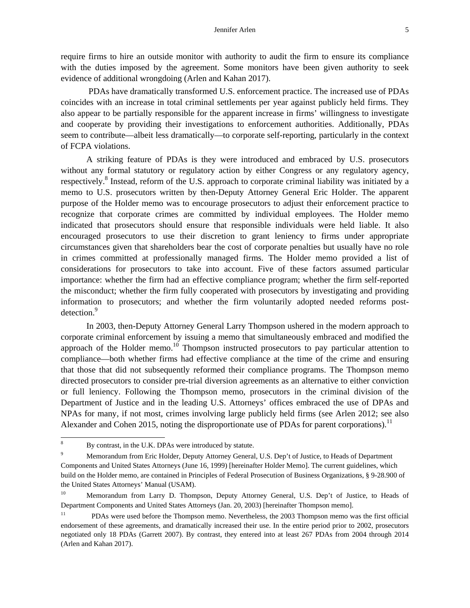require firms to hire an outside monitor with authority to audit the firm to ensure its compliance with the duties imposed by the agreement. Some monitors have been given authority to seek evidence of additional wrongdoing (Arlen and Kahan 2017).

 PDAs have dramatically transformed U.S. enforcement practice. The increased use of PDAs coincides with an increase in total criminal settlements per year against publicly held firms. They also appear to be partially responsible for the apparent increase in firms' willingness to investigate and cooperate by providing their investigations to enforcement authorities. Additionally, PDAs seem to contribute—albeit less dramatically—to corporate self-reporting, particularly in the context of FCPA violations.

A striking feature of PDAs is they were introduced and embraced by U.S. prosecutors without any formal statutory or regulatory action by either Congress or any regulatory agency, respectively.<sup>8</sup> Instead, reform of the U.S. approach to corporate criminal liability was initiated by a memo to U.S. prosecutors written by then-Deputy Attorney General Eric Holder. The apparent purpose of the Holder memo was to encourage prosecutors to adjust their enforcement practice to recognize that corporate crimes are committed by individual employees. The Holder memo indicated that prosecutors should ensure that responsible individuals were held liable. It also encouraged prosecutors to use their discretion to grant leniency to firms under appropriate circumstances given that shareholders bear the cost of corporate penalties but usually have no role in crimes committed at professionally managed firms. The Holder memo provided a list of considerations for prosecutors to take into account. Five of these factors assumed particular importance: whether the firm had an effective compliance program; whether the firm self-reported the misconduct; whether the firm fully cooperated with prosecutors by investigating and providing information to prosecutors; and whether the firm voluntarily adopted needed reforms postdetection.<sup>9</sup>

In 2003, then-Deputy Attorney General Larry Thompson ushered in the modern approach to corporate criminal enforcement by issuing a memo that simultaneously embraced and modified the approach of the Holder memo.<sup>10</sup> Thompson instructed prosecutors to pay particular attention to compliance—both whether firms had effective compliance at the time of the crime and ensuring that those that did not subsequently reformed their compliance programs. The Thompson memo directed prosecutors to consider pre-trial diversion agreements as an alternative to either conviction or full leniency. Following the Thompson memo, prosecutors in the criminal division of the Department of Justice and in the leading U.S. Attorneys' offices embraced the use of DPAs and NPAs for many, if not most, crimes involving large publicly held firms (see Arlen 2012; see also Alexander and Cohen 2015, noting the disproportionate use of PDAs for parent corporations).<sup>11</sup>

 8 By contrast, in the U.K. DPAs were introduced by statute.

<sup>9</sup> Memorandum from Eric Holder, Deputy Attorney General, U.S. Dep't of Justice, to Heads of Department Components and United States Attorneys (June 16, 1999) [hereinafter Holder Memo]. The current guidelines, which build on the Holder memo, are contained in Principles of Federal Prosecution of Business Organizations, § 9-28.900 of the United States Attorneys' Manual (USAM).

<sup>&</sup>lt;sup>10</sup> Memorandum from Larry D. Thompson, Deputy Attorney General, U.S. Dep't of Justice, to Heads of Department Components and United States Attorneys (Jan. 20, 2003) [hereinafter Thompson memo].

<sup>&</sup>lt;sup>11</sup> PDAs were used before the Thompson memo. Nevertheless, the 2003 Thompson memo was the first official endorsement of these agreements, and dramatically increased their use. In the entire period prior to 2002, prosecutors negotiated only 18 PDAs (Garrett 2007). By contrast, they entered into at least 267 PDAs from 2004 through 2014 (Arlen and Kahan 2017).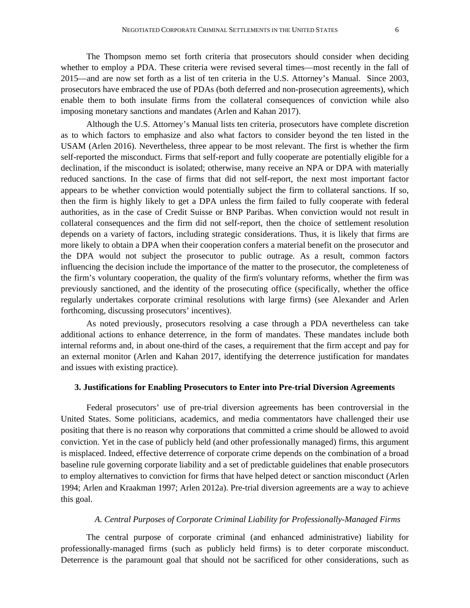The Thompson memo set forth criteria that prosecutors should consider when deciding whether to employ a PDA. These criteria were revised several times—most recently in the fall of 2015—and are now set forth as a list of ten criteria in the U.S. Attorney's Manual. Since 2003, prosecutors have embraced the use of PDAs (both deferred and non-prosecution agreements), which enable them to both insulate firms from the collateral consequences of conviction while also imposing monetary sanctions and mandates (Arlen and Kahan 2017).

Although the U.S. Attorney's Manual lists ten criteria, prosecutors have complete discretion as to which factors to emphasize and also what factors to consider beyond the ten listed in the USAM (Arlen 2016). Nevertheless, three appear to be most relevant. The first is whether the firm self-reported the misconduct. Firms that self-report and fully cooperate are potentially eligible for a declination, if the misconduct is isolated; otherwise, many receive an NPA or DPA with materially reduced sanctions. In the case of firms that did not self-report, the next most important factor appears to be whether conviction would potentially subject the firm to collateral sanctions. If so, then the firm is highly likely to get a DPA unless the firm failed to fully cooperate with federal authorities, as in the case of Credit Suisse or BNP Paribas. When conviction would not result in collateral consequences and the firm did not self-report, then the choice of settlement resolution depends on a variety of factors, including strategic considerations. Thus, it is likely that firms are more likely to obtain a DPA when their cooperation confers a material benefit on the prosecutor and the DPA would not subject the prosecutor to public outrage. As a result, common factors influencing the decision include the importance of the matter to the prosecutor, the completeness of the firm's voluntary cooperation, the quality of the firm's voluntary reforms, whether the firm was previously sanctioned, and the identity of the prosecuting office (specifically, whether the office regularly undertakes corporate criminal resolutions with large firms) (see Alexander and Arlen forthcoming, discussing prosecutors' incentives).

As noted previously, prosecutors resolving a case through a PDA nevertheless can take additional actions to enhance deterrence, in the form of mandates. These mandates include both internal reforms and, in about one-third of the cases, a requirement that the firm accept and pay for an external monitor (Arlen and Kahan 2017, identifying the deterrence justification for mandates and issues with existing practice).

#### **3. Justifications for Enabling Prosecutors to Enter into Pre-trial Diversion Agreements**

Federal prosecutors' use of pre-trial diversion agreements has been controversial in the United States. Some politicians, academics, and media commentators have challenged their use positing that there is no reason why corporations that committed a crime should be allowed to avoid conviction. Yet in the case of publicly held (and other professionally managed) firms, this argument is misplaced. Indeed, effective deterrence of corporate crime depends on the combination of a broad baseline rule governing corporate liability and a set of predictable guidelines that enable prosecutors to employ alternatives to conviction for firms that have helped detect or sanction misconduct (Arlen 1994; Arlen and Kraakman 1997; Arlen 2012a). Pre-trial diversion agreements are a way to achieve this goal.

## *A. Central Purposes of Corporate Criminal Liability for Professionally-Managed Firms*

The central purpose of corporate criminal (and enhanced administrative) liability for professionally-managed firms (such as publicly held firms) is to deter corporate misconduct. Deterrence is the paramount goal that should not be sacrificed for other considerations, such as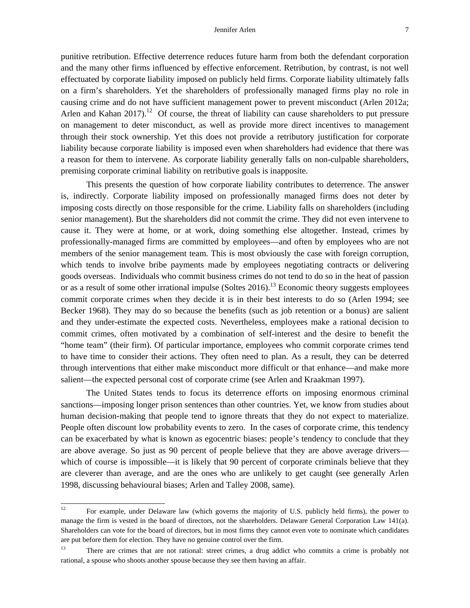punitive retribution. Effective deterrence reduces future harm from both the defendant corporation and the many other firms influenced by effective enforcement. Retribution, by contrast, is not well effectuated by corporate liability imposed on publicly held firms. Corporate liability ultimately falls on a firm's shareholders. Yet the shareholders of professionally managed firms play no role in causing crime and do not have sufficient management power to prevent misconduct (Arlen 2012a; Arlen and Kahan  $2017$ ).<sup>12</sup> Of course, the threat of liability can cause shareholders to put pressure on management to deter misconduct, as well as provide more direct incentives to management through their stock ownership. Yet this does not provide a retributory justification for corporate liability because corporate liability is imposed even when shareholders had evidence that there was a reason for them to intervene. As corporate liability generally falls on non-culpable shareholders, premising corporate criminal liability on retributive goals is inapposite.

This presents the question of how corporate liability contributes to deterrence. The answer is, indirectly. Corporate liability imposed on professionally managed firms does not deter by imposing costs directly on those responsible for the crime. Liability falls on shareholders (including senior management). But the shareholders did not commit the crime. They did not even intervene to cause it. They were at home, or at work, doing something else altogether. Instead, crimes by professionally-managed firms are committed by employees—and often by employees who are not members of the senior management team. This is most obviously the case with foreign corruption, which tends to involve bribe payments made by employees negotiating contracts or delivering goods overseas. Individuals who commit business crimes do not tend to do so in the heat of passion or as a result of some other irrational impulse (Soltes  $2016$ ).<sup>13</sup> Economic theory suggests employees commit corporate crimes when they decide it is in their best interests to do so (Arlen 1994; see Becker 1968). They may do so because the benefits (such as job retention or a bonus) are salient and they under-estimate the expected costs. Nevertheless, employees make a rational decision to commit crimes, often motivated by a combination of self-interest and the desire to benefit the "home team" (their firm). Of particular importance, employees who commit corporate crimes tend to have time to consider their actions. They often need to plan. As a result, they can be deterred through interventions that either make misconduct more difficult or that enhance—and make more salient—the expected personal cost of corporate crime (see Arlen and Kraakman 1997).

The United States tends to focus its deterrence efforts on imposing enormous criminal sanctions—imposing longer prison sentences than other countries. Yet, we know from studies about human decision-making that people tend to ignore threats that they do not expect to materialize. People often discount low probability events to zero. In the cases of corporate crime, this tendency can be exacerbated by what is known as egocentric biases: people's tendency to conclude that they are above average. So just as 90 percent of people believe that they are above average drivers which of course is impossible—it is likely that 90 percent of corporate criminals believe that they are cleverer than average, and are the ones who are unlikely to get caught (see generally Arlen 1998, discussing behavioural biases; Arlen and Talley 2008, same).

 $12$ 12 For example, under Delaware law (which governs the majority of U.S. publicly held firms), the power to manage the firm is vested in the board of directors, not the shareholders. Delaware General Corporation Law 141(a). Shareholders can vote for the board of directors, but in most firms they cannot even vote to nominate which candidates are put before them for election. They have no genuine control over the firm.

<sup>&</sup>lt;sup>13</sup> There are crimes that are not rational: street crimes, a drug addict who commits a crime is probably not rational, a spouse who shoots another spouse because they see them having an affair.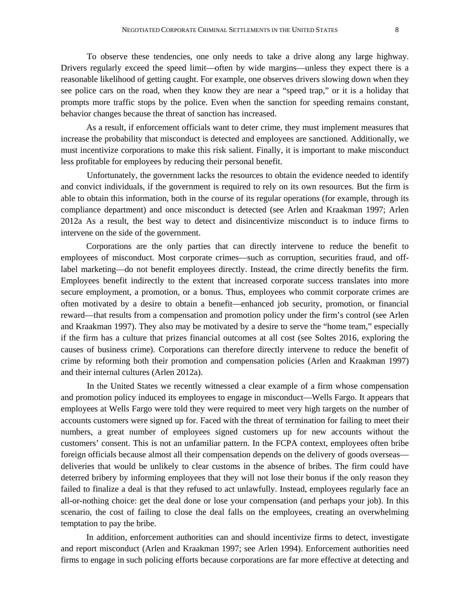To observe these tendencies, one only needs to take a drive along any large highway. Drivers regularly exceed the speed limit—often by wide margins—unless they expect there is a reasonable likelihood of getting caught. For example, one observes drivers slowing down when they see police cars on the road, when they know they are near a "speed trap," or it is a holiday that prompts more traffic stops by the police. Even when the sanction for speeding remains constant, behavior changes because the threat of sanction has increased.

 As a result, if enforcement officials want to deter crime, they must implement measures that increase the probability that misconduct is detected and employees are sanctioned. Additionally, we must incentivize corporations to make this risk salient. Finally, it is important to make misconduct less profitable for employees by reducing their personal benefit.

Unfortunately, the government lacks the resources to obtain the evidence needed to identify and convict individuals, if the government is required to rely on its own resources. But the firm is able to obtain this information, both in the course of its regular operations (for example, through its compliance department) and once misconduct is detected (see Arlen and Kraakman 1997; Arlen 2012a As a result, the best way to detect and disincentivize misconduct is to induce firms to intervene on the side of the government.

Corporations are the only parties that can directly intervene to reduce the benefit to employees of misconduct. Most corporate crimes—such as corruption, securities fraud, and offlabel marketing—do not benefit employees directly. Instead, the crime directly benefits the firm. Employees benefit indirectly to the extent that increased corporate success translates into more secure employment, a promotion, or a bonus. Thus, employees who commit corporate crimes are often motivated by a desire to obtain a benefit—enhanced job security, promotion, or financial reward—that results from a compensation and promotion policy under the firm's control (see Arlen and Kraakman 1997). They also may be motivated by a desire to serve the "home team," especially if the firm has a culture that prizes financial outcomes at all cost (see Soltes 2016, exploring the causes of business crime). Corporations can therefore directly intervene to reduce the benefit of crime by reforming both their promotion and compensation policies (Arlen and Kraakman 1997) and their internal cultures (Arlen 2012a).

In the United States we recently witnessed a clear example of a firm whose compensation and promotion policy induced its employees to engage in misconduct—Wells Fargo. It appears that employees at Wells Fargo were told they were required to meet very high targets on the number of accounts customers were signed up for. Faced with the threat of termination for failing to meet their numbers, a great number of employees signed customers up for new accounts without the customers' consent. This is not an unfamiliar pattern. In the FCPA context, employees often bribe foreign officials because almost all their compensation depends on the delivery of goods overseas deliveries that would be unlikely to clear customs in the absence of bribes. The firm could have deterred bribery by informing employees that they will not lose their bonus if the only reason they failed to finalize a deal is that they refused to act unlawfully. Instead, employees regularly face an all-or-nothing choice: get the deal done or lose your compensation (and perhaps your job). In this scenario, the cost of failing to close the deal falls on the employees, creating an overwhelming temptation to pay the bribe.

In addition, enforcement authorities can and should incentivize firms to detect, investigate and report misconduct (Arlen and Kraakman 1997; see Arlen 1994). Enforcement authorities need firms to engage in such policing efforts because corporations are far more effective at detecting and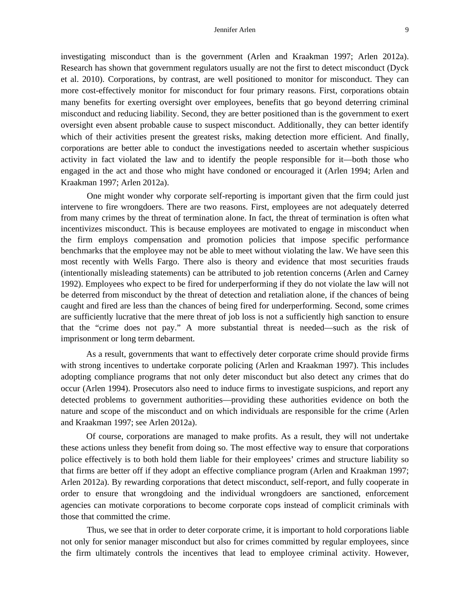investigating misconduct than is the government (Arlen and Kraakman 1997; Arlen 2012a). Research has shown that government regulators usually are not the first to detect misconduct (Dyck et al. 2010). Corporations, by contrast, are well positioned to monitor for misconduct. They can more cost-effectively monitor for misconduct for four primary reasons. First, corporations obtain many benefits for exerting oversight over employees, benefits that go beyond deterring criminal misconduct and reducing liability. Second, they are better positioned than is the government to exert oversight even absent probable cause to suspect misconduct. Additionally, they can better identify which of their activities present the greatest risks, making detection more efficient. And finally, corporations are better able to conduct the investigations needed to ascertain whether suspicious activity in fact violated the law and to identify the people responsible for it—both those who engaged in the act and those who might have condoned or encouraged it (Arlen 1994; Arlen and Kraakman 1997; Arlen 2012a).

One might wonder why corporate self-reporting is important given that the firm could just intervene to fire wrongdoers. There are two reasons. First, employees are not adequately deterred from many crimes by the threat of termination alone. In fact, the threat of termination is often what incentivizes misconduct. This is because employees are motivated to engage in misconduct when the firm employs compensation and promotion policies that impose specific performance benchmarks that the employee may not be able to meet without violating the law. We have seen this most recently with Wells Fargo. There also is theory and evidence that most securities frauds (intentionally misleading statements) can be attributed to job retention concerns (Arlen and Carney 1992). Employees who expect to be fired for underperforming if they do not violate the law will not be deterred from misconduct by the threat of detection and retaliation alone, if the chances of being caught and fired are less than the chances of being fired for underperforming. Second, some crimes are sufficiently lucrative that the mere threat of job loss is not a sufficiently high sanction to ensure that the "crime does not pay." A more substantial threat is needed—such as the risk of imprisonment or long term debarment.

As a result, governments that want to effectively deter corporate crime should provide firms with strong incentives to undertake corporate policing (Arlen and Kraakman 1997). This includes adopting compliance programs that not only deter misconduct but also detect any crimes that do occur (Arlen 1994). Prosecutors also need to induce firms to investigate suspicions, and report any detected problems to government authorities—providing these authorities evidence on both the nature and scope of the misconduct and on which individuals are responsible for the crime (Arlen and Kraakman 1997; see Arlen 2012a).

Of course, corporations are managed to make profits. As a result, they will not undertake these actions unless they benefit from doing so. The most effective way to ensure that corporations police effectively is to both hold them liable for their employees' crimes and structure liability so that firms are better off if they adopt an effective compliance program (Arlen and Kraakman 1997; Arlen 2012a). By rewarding corporations that detect misconduct, self-report, and fully cooperate in order to ensure that wrongdoing and the individual wrongdoers are sanctioned, enforcement agencies can motivate corporations to become corporate cops instead of complicit criminals with those that committed the crime.

Thus, we see that in order to deter corporate crime, it is important to hold corporations liable not only for senior manager misconduct but also for crimes committed by regular employees, since the firm ultimately controls the incentives that lead to employee criminal activity. However,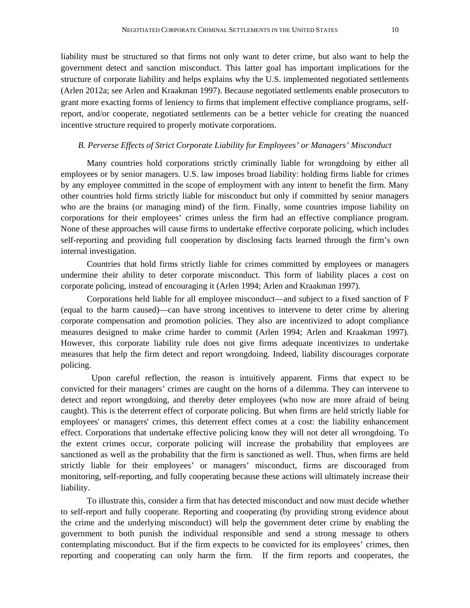liability must be structured so that firms not only want to deter crime, but also want to help the government detect and sanction misconduct. This latter goal has important implications for the structure of corporate liability and helps explains why the U.S. implemented negotiated settlements (Arlen 2012a; see Arlen and Kraakman 1997). Because negotiated settlements enable prosecutors to grant more exacting forms of leniency to firms that implement effective compliance programs, selfreport, and/or cooperate, negotiated settlements can be a better vehicle for creating the nuanced incentive structure required to properly motivate corporations.

#### *B. Perverse Effects of Strict Corporate Liability for Employees' or Managers' Misconduct*

Many countries hold corporations strictly criminally liable for wrongdoing by either all employees or by senior managers. U.S. law imposes broad liability: holding firms liable for crimes by any employee committed in the scope of employment with any intent to benefit the firm. Many other countries hold firms strictly liable for misconduct but only if committed by senior managers who are the brains (or managing mind) of the firm. Finally, some countries impose liability on corporations for their employees' crimes unless the firm had an effective compliance program. None of these approaches will cause firms to undertake effective corporate policing, which includes self-reporting and providing full cooperation by disclosing facts learned through the firm's own internal investigation.

Countries that hold firms strictly liable for crimes committed by employees or managers undermine their ability to deter corporate misconduct. This form of liability places a cost on corporate policing, instead of encouraging it (Arlen 1994; Arlen and Kraakman 1997).

Corporations held liable for all employee misconduct—and subject to a fixed sanction of F (equal to the harm caused)—can have strong incentives to intervene to deter crime by altering corporate compensation and promotion policies. They also are incentivized to adopt compliance measures designed to make crime harder to commit (Arlen 1994; Arlen and Kraakman 1997). However, this corporate liability rule does not give firms adequate incentivizes to undertake measures that help the firm detect and report wrongdoing. Indeed, liability discourages corporate policing.

 Upon careful reflection, the reason is intuitively apparent. Firms that expect to be convicted for their managers' crimes are caught on the horns of a dilemma. They can intervene to detect and report wrongdoing, and thereby deter employees (who now are more afraid of being caught). This is the deterrent effect of corporate policing. But when firms are held strictly liable for employees' or managers' crimes, this deterrent effect comes at a cost: the liability enhancement effect. Corporations that undertake effective policing know they will not deter all wrongdoing. To the extent crimes occur, corporate policing will increase the probability that employees are sanctioned as well as the probability that the firm is sanctioned as well. Thus, when firms are held strictly liable for their employees' or managers' misconduct, firms are discouraged from monitoring, self-reporting, and fully cooperating because these actions will ultimately increase their liability.

To illustrate this, consider a firm that has detected misconduct and now must decide whether to self-report and fully cooperate. Reporting and cooperating (by providing strong evidence about the crime and the underlying misconduct) will help the government deter crime by enabling the government to both punish the individual responsible and send a strong message to others contemplating misconduct. But if the firm expects to be convicted for its employees' crimes, then reporting and cooperating can only harm the firm. If the firm reports and cooperates, the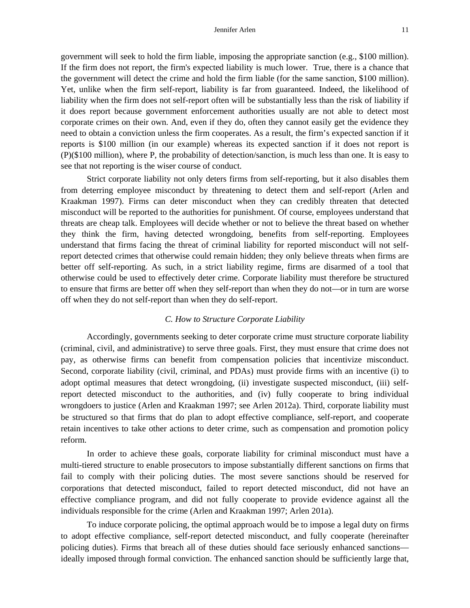government will seek to hold the firm liable, imposing the appropriate sanction (e.g., \$100 million). If the firm does not report, the firm's expected liability is much lower. True, there is a chance that the government will detect the crime and hold the firm liable (for the same sanction, \$100 million). Yet, unlike when the firm self-report, liability is far from guaranteed. Indeed, the likelihood of liability when the firm does not self-report often will be substantially less than the risk of liability if it does report because government enforcement authorities usually are not able to detect most corporate crimes on their own. And, even if they do, often they cannot easily get the evidence they need to obtain a conviction unless the firm cooperates. As a result, the firm's expected sanction if it reports is \$100 million (in our example) whereas its expected sanction if it does not report is (P)(\$100 million), where P, the probability of detection/sanction, is much less than one. It is easy to see that not reporting is the wiser course of conduct.

Strict corporate liability not only deters firms from self-reporting, but it also disables them from deterring employee misconduct by threatening to detect them and self-report (Arlen and Kraakman 1997). Firms can deter misconduct when they can credibly threaten that detected misconduct will be reported to the authorities for punishment. Of course, employees understand that threats are cheap talk. Employees will decide whether or not to believe the threat based on whether they think the firm, having detected wrongdoing, benefits from self-reporting. Employees understand that firms facing the threat of criminal liability for reported misconduct will not selfreport detected crimes that otherwise could remain hidden; they only believe threats when firms are better off self-reporting. As such, in a strict liability regime, firms are disarmed of a tool that otherwise could be used to effectively deter crime. Corporate liability must therefore be structured to ensure that firms are better off when they self-report than when they do not—or in turn are worse off when they do not self-report than when they do self-report.

#### *C. How to Structure Corporate Liability*

Accordingly, governments seeking to deter corporate crime must structure corporate liability (criminal, civil, and administrative) to serve three goals. First, they must ensure that crime does not pay, as otherwise firms can benefit from compensation policies that incentivize misconduct. Second, corporate liability (civil, criminal, and PDAs) must provide firms with an incentive (i) to adopt optimal measures that detect wrongdoing, (ii) investigate suspected misconduct, (iii) selfreport detected misconduct to the authorities, and (iv) fully cooperate to bring individual wrongdoers to justice (Arlen and Kraakman 1997; see Arlen 2012a). Third, corporate liability must be structured so that firms that do plan to adopt effective compliance, self-report, and cooperate retain incentives to take other actions to deter crime, such as compensation and promotion policy reform.

In order to achieve these goals, corporate liability for criminal misconduct must have a multi-tiered structure to enable prosecutors to impose substantially different sanctions on firms that fail to comply with their policing duties. The most severe sanctions should be reserved for corporations that detected misconduct, failed to report detected misconduct, did not have an effective compliance program, and did not fully cooperate to provide evidence against all the individuals responsible for the crime (Arlen and Kraakman 1997; Arlen 201a).

To induce corporate policing, the optimal approach would be to impose a legal duty on firms to adopt effective compliance, self-report detected misconduct, and fully cooperate (hereinafter policing duties). Firms that breach all of these duties should face seriously enhanced sanctions ideally imposed through formal conviction. The enhanced sanction should be sufficiently large that,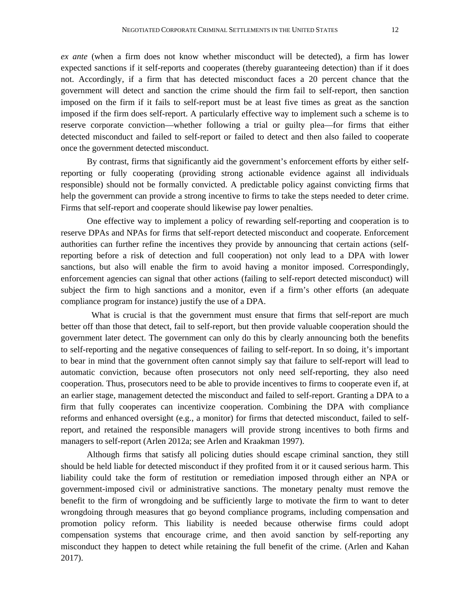*ex ante* (when a firm does not know whether misconduct will be detected), a firm has lower expected sanctions if it self-reports and cooperates (thereby guaranteeing detection) than if it does not. Accordingly, if a firm that has detected misconduct faces a 20 percent chance that the government will detect and sanction the crime should the firm fail to self-report, then sanction imposed on the firm if it fails to self-report must be at least five times as great as the sanction imposed if the firm does self-report. A particularly effective way to implement such a scheme is to reserve corporate conviction—whether following a trial or guilty plea—for firms that either detected misconduct and failed to self-report or failed to detect and then also failed to cooperate once the government detected misconduct.

By contrast, firms that significantly aid the government's enforcement efforts by either selfreporting or fully cooperating (providing strong actionable evidence against all individuals responsible) should not be formally convicted. A predictable policy against convicting firms that help the government can provide a strong incentive to firms to take the steps needed to deter crime. Firms that self-report and cooperate should likewise pay lower penalties.

One effective way to implement a policy of rewarding self-reporting and cooperation is to reserve DPAs and NPAs for firms that self-report detected misconduct and cooperate. Enforcement authorities can further refine the incentives they provide by announcing that certain actions (selfreporting before a risk of detection and full cooperation) not only lead to a DPA with lower sanctions, but also will enable the firm to avoid having a monitor imposed. Correspondingly, enforcement agencies can signal that other actions (failing to self-report detected misconduct) will subject the firm to high sanctions and a monitor, even if a firm's other efforts (an adequate compliance program for instance) justify the use of a DPA.

What is crucial is that the government must ensure that firms that self-report are much better off than those that detect, fail to self-report, but then provide valuable cooperation should the government later detect. The government can only do this by clearly announcing both the benefits to self-reporting and the negative consequences of failing to self-report. In so doing, it's important to bear in mind that the government often cannot simply say that failure to self-report will lead to automatic conviction, because often prosecutors not only need self-reporting, they also need cooperation. Thus, prosecutors need to be able to provide incentives to firms to cooperate even if, at an earlier stage, management detected the misconduct and failed to self-report. Granting a DPA to a firm that fully cooperates can incentivize cooperation. Combining the DPA with compliance reforms and enhanced oversight (e.g., a monitor) for firms that detected misconduct, failed to selfreport, and retained the responsible managers will provide strong incentives to both firms and managers to self-report (Arlen 2012a; see Arlen and Kraakman 1997).

Although firms that satisfy all policing duties should escape criminal sanction, they still should be held liable for detected misconduct if they profited from it or it caused serious harm. This liability could take the form of restitution or remediation imposed through either an NPA or government-imposed civil or administrative sanctions. The monetary penalty must remove the benefit to the firm of wrongdoing and be sufficiently large to motivate the firm to want to deter wrongdoing through measures that go beyond compliance programs, including compensation and promotion policy reform. This liability is needed because otherwise firms could adopt compensation systems that encourage crime, and then avoid sanction by self-reporting any misconduct they happen to detect while retaining the full benefit of the crime. (Arlen and Kahan 2017).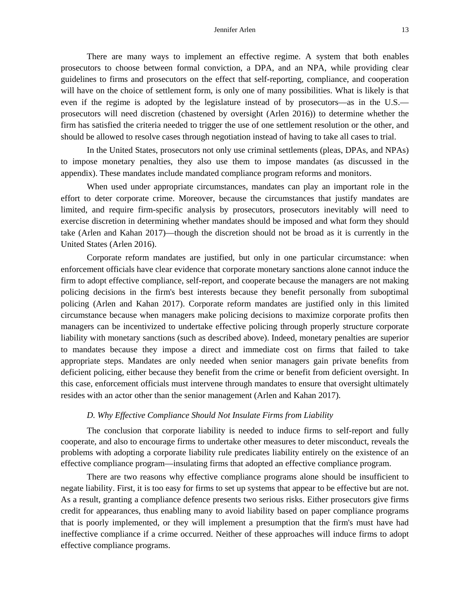There are many ways to implement an effective regime. A system that both enables prosecutors to choose between formal conviction, a DPA, and an NPA, while providing clear guidelines to firms and prosecutors on the effect that self-reporting, compliance, and cooperation will have on the choice of settlement form, is only one of many possibilities. What is likely is that even if the regime is adopted by the legislature instead of by prosecutors—as in the U.S. prosecutors will need discretion (chastened by oversight (Arlen 2016)) to determine whether the firm has satisfied the criteria needed to trigger the use of one settlement resolution or the other, and should be allowed to resolve cases through negotiation instead of having to take all cases to trial.

In the United States, prosecutors not only use criminal settlements (pleas, DPAs, and NPAs) to impose monetary penalties, they also use them to impose mandates (as discussed in the appendix). These mandates include mandated compliance program reforms and monitors.

When used under appropriate circumstances, mandates can play an important role in the effort to deter corporate crime. Moreover, because the circumstances that justify mandates are limited, and require firm-specific analysis by prosecutors, prosecutors inevitably will need to exercise discretion in determining whether mandates should be imposed and what form they should take (Arlen and Kahan 2017)—though the discretion should not be broad as it is currently in the United States (Arlen 2016).

Corporate reform mandates are justified, but only in one particular circumstance: when enforcement officials have clear evidence that corporate monetary sanctions alone cannot induce the firm to adopt effective compliance, self-report, and cooperate because the managers are not making policing decisions in the firm's best interests because they benefit personally from suboptimal policing (Arlen and Kahan 2017). Corporate reform mandates are justified only in this limited circumstance because when managers make policing decisions to maximize corporate profits then managers can be incentivized to undertake effective policing through properly structure corporate liability with monetary sanctions (such as described above). Indeed, monetary penalties are superior to mandates because they impose a direct and immediate cost on firms that failed to take appropriate steps. Mandates are only needed when senior managers gain private benefits from deficient policing, either because they benefit from the crime or benefit from deficient oversight. In this case, enforcement officials must intervene through mandates to ensure that oversight ultimately resides with an actor other than the senior management (Arlen and Kahan 2017).

### *D. Why Effective Compliance Should Not Insulate Firms from Liability*

The conclusion that corporate liability is needed to induce firms to self-report and fully cooperate, and also to encourage firms to undertake other measures to deter misconduct, reveals the problems with adopting a corporate liability rule predicates liability entirely on the existence of an effective compliance program—insulating firms that adopted an effective compliance program.

There are two reasons why effective compliance programs alone should be insufficient to negate liability. First, it is too easy for firms to set up systems that appear to be effective but are not. As a result, granting a compliance defence presents two serious risks. Either prosecutors give firms credit for appearances, thus enabling many to avoid liability based on paper compliance programs that is poorly implemented, or they will implement a presumption that the firm's must have had ineffective compliance if a crime occurred. Neither of these approaches will induce firms to adopt effective compliance programs.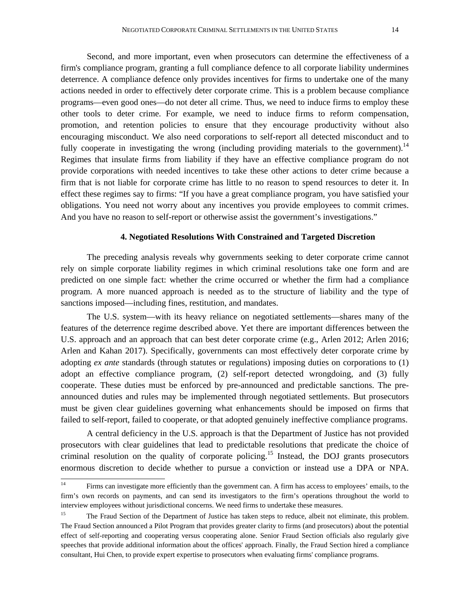Second, and more important, even when prosecutors can determine the effectiveness of a firm's compliance program, granting a full compliance defence to all corporate liability undermines deterrence. A compliance defence only provides incentives for firms to undertake one of the many actions needed in order to effectively deter corporate crime. This is a problem because compliance programs—even good ones—do not deter all crime. Thus, we need to induce firms to employ these other tools to deter crime. For example, we need to induce firms to reform compensation, promotion, and retention policies to ensure that they encourage productivity without also encouraging misconduct. We also need corporations to self-report all detected misconduct and to fully cooperate in investigating the wrong (including providing materials to the government).<sup>14</sup> Regimes that insulate firms from liability if they have an effective compliance program do not provide corporations with needed incentives to take these other actions to deter crime because a firm that is not liable for corporate crime has little to no reason to spend resources to deter it. In effect these regimes say to firms: "If you have a great compliance program, you have satisfied your obligations. You need not worry about any incentives you provide employees to commit crimes. And you have no reason to self-report or otherwise assist the government's investigations."

#### **4. Negotiated Resolutions With Constrained and Targeted Discretion**

The preceding analysis reveals why governments seeking to deter corporate crime cannot rely on simple corporate liability regimes in which criminal resolutions take one form and are predicted on one simple fact: whether the crime occurred or whether the firm had a compliance program. A more nuanced approach is needed as to the structure of liability and the type of sanctions imposed—including fines, restitution, and mandates.

The U.S. system—with its heavy reliance on negotiated settlements—shares many of the features of the deterrence regime described above. Yet there are important differences between the U.S. approach and an approach that can best deter corporate crime (e.g., Arlen 2012; Arlen 2016; Arlen and Kahan 2017). Specifically, governments can most effectively deter corporate crime by adopting *ex ante* standards (through statutes or regulations) imposing duties on corporations to (1) adopt an effective compliance program, (2) self-report detected wrongdoing, and (3) fully cooperate. These duties must be enforced by pre-announced and predictable sanctions. The preannounced duties and rules may be implemented through negotiated settlements. But prosecutors must be given clear guidelines governing what enhancements should be imposed on firms that failed to self-report, failed to cooperate, or that adopted genuinely ineffective compliance programs.

A central deficiency in the U.S. approach is that the Department of Justice has not provided prosecutors with clear guidelines that lead to predictable resolutions that predicate the choice of criminal resolution on the quality of corporate policing.<sup>15</sup> Instead, the DOJ grants prosecutors enormous discretion to decide whether to pursue a conviction or instead use a DPA or NPA.

 $14<sup>°</sup>$ 14 Firms can investigate more efficiently than the government can. A firm has access to employees' emails, to the firm's own records on payments, and can send its investigators to the firm's operations throughout the world to interview employees without jurisdictional concerns. We need firms to undertake these measures.

<sup>&</sup>lt;sup>15</sup> The Fraud Section of the Department of Justice has taken steps to reduce, albeit not eliminate, this problem. The Fraud Section announced a Pilot Program that provides greater clarity to firms (and prosecutors) about the potential effect of self-reporting and cooperating versus cooperating alone. Senior Fraud Section officials also regularly give speeches that provide additional information about the offices' approach. Finally, the Fraud Section hired a compliance consultant, Hui Chen, to provide expert expertise to prosecutors when evaluating firms' compliance programs.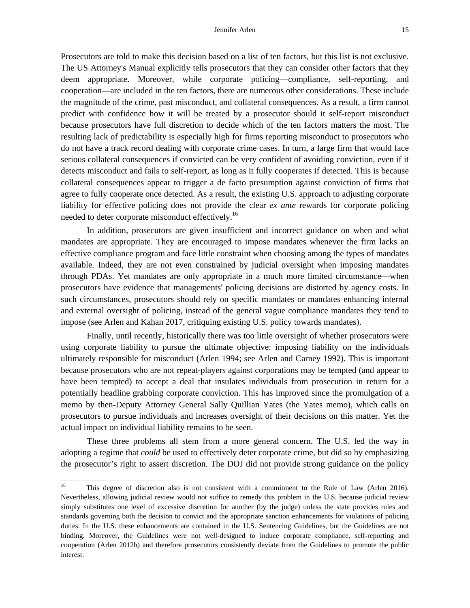Prosecutors are told to make this decision based on a list of ten factors, but this list is not exclusive. The US Attorney's Manual explicitly tells prosecutors that they can consider other factors that they deem appropriate. Moreover, while corporate policing—compliance, self-reporting, and cooperation—are included in the ten factors, there are numerous other considerations. These include the magnitude of the crime, past misconduct, and collateral consequences. As a result, a firm cannot predict with confidence how it will be treated by a prosecutor should it self-report misconduct because prosecutors have full discretion to decide which of the ten factors matters the most. The resulting lack of predictability is especially high for firms reporting misconduct to prosecutors who do not have a track record dealing with corporate crime cases. In turn, a large firm that would face serious collateral consequences if convicted can be very confident of avoiding conviction, even if it detects misconduct and fails to self-report, as long as it fully cooperates if detected. This is because collateral consequences appear to trigger a de facto presumption against conviction of firms that agree to fully cooperate once detected. As a result, the existing U.S. approach to adjusting corporate liability for effective policing does not provide the clear *ex ante* rewards for corporate policing needed to deter corporate misconduct effectively.<sup>16</sup>

In addition, prosecutors are given insufficient and incorrect guidance on when and what mandates are appropriate. They are encouraged to impose mandates whenever the firm lacks an effective compliance program and face little constraint when choosing among the types of mandates available. Indeed, they are not even constrained by judicial oversight when imposing mandates through PDAs. Yet mandates are only appropriate in a much more limited circumstance—when prosecutors have evidence that managements' policing decisions are distorted by agency costs. In such circumstances, prosecutors should rely on specific mandates or mandates enhancing internal and external oversight of policing, instead of the general vague compliance mandates they tend to impose (see Arlen and Kahan 2017, critiquing existing U.S. policy towards mandates).

Finally, until recently, historically there was too little oversight of whether prosecutors were using corporate liability to pursue the ultimate objective: imposing liability on the individuals ultimately responsible for misconduct (Arlen 1994; see Arlen and Carney 1992). This is important because prosecutors who are not repeat-players against corporations may be tempted (and appear to have been tempted) to accept a deal that insulates individuals from prosecution in return for a potentially headline grabbing corporate conviction. This has improved since the promulgation of a memo by then-Deputy Attorney General Sally Quillian Yates (the Yates memo), which calls on prosecutors to pursue individuals and increases oversight of their decisions on this matter. Yet the actual impact on individual liability remains to be seen.

These three problems all stem from a more general concern. The U.S. led the way in adopting a regime that *could* be used to effectively deter corporate crime, but did so by emphasizing the prosecutor's right to assert discretion. The DOJ did not provide strong guidance on the policy

<sup>16</sup> 16 This degree of discretion also is not consistent with a commitment to the Rule of Law (Arlen 2016). Nevertheless, allowing judicial review would not suffice to remedy this problem in the U.S. because judicial review simply substitutes one level of excessive discretion for another (by the judge) unless the state provides rules and standards governing both the decision to convict and the appropriate sanction enhancements for violations of policing duties. In the U.S. these enhancements are contained in the U.S. Sentencing Guidelines, but the Guidelines are not binding. Moreover, the Guidelines were not well-designed to induce corporate compliance, self-reporting and cooperation (Arlen 2012b) and therefore prosecutors consistently deviate from the Guidelines to promote the public interest.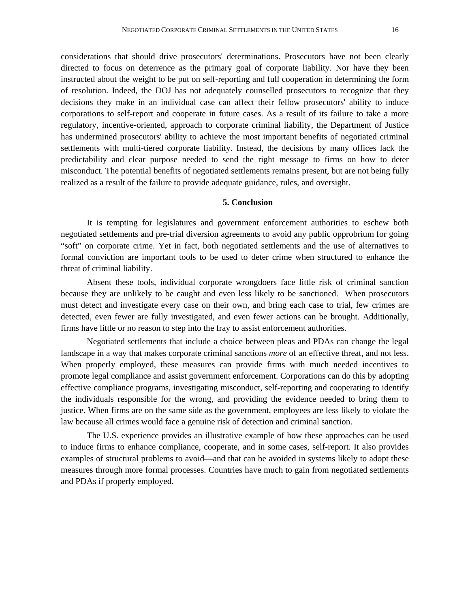considerations that should drive prosecutors' determinations. Prosecutors have not been clearly directed to focus on deterrence as the primary goal of corporate liability. Nor have they been instructed about the weight to be put on self-reporting and full cooperation in determining the form of resolution. Indeed, the DOJ has not adequately counselled prosecutors to recognize that they decisions they make in an individual case can affect their fellow prosecutors' ability to induce corporations to self-report and cooperate in future cases. As a result of its failure to take a more regulatory, incentive-oriented, approach to corporate criminal liability, the Department of Justice has undermined prosecutors' ability to achieve the most important benefits of negotiated criminal settlements with multi-tiered corporate liability. Instead, the decisions by many offices lack the predictability and clear purpose needed to send the right message to firms on how to deter misconduct. The potential benefits of negotiated settlements remains present, but are not being fully realized as a result of the failure to provide adequate guidance, rules, and oversight.

## **5. Conclusion**

It is tempting for legislatures and government enforcement authorities to eschew both negotiated settlements and pre-trial diversion agreements to avoid any public opprobrium for going "soft" on corporate crime. Yet in fact, both negotiated settlements and the use of alternatives to formal conviction are important tools to be used to deter crime when structured to enhance the threat of criminal liability.

Absent these tools, individual corporate wrongdoers face little risk of criminal sanction because they are unlikely to be caught and even less likely to be sanctioned. When prosecutors must detect and investigate every case on their own, and bring each case to trial, few crimes are detected, even fewer are fully investigated, and even fewer actions can be brought. Additionally, firms have little or no reason to step into the fray to assist enforcement authorities.

Negotiated settlements that include a choice between pleas and PDAs can change the legal landscape in a way that makes corporate criminal sanctions *more* of an effective threat, and not less. When properly employed, these measures can provide firms with much needed incentives to promote legal compliance and assist government enforcement. Corporations can do this by adopting effective compliance programs, investigating misconduct, self-reporting and cooperating to identify the individuals responsible for the wrong, and providing the evidence needed to bring them to justice. When firms are on the same side as the government, employees are less likely to violate the law because all crimes would face a genuine risk of detection and criminal sanction.

The U.S. experience provides an illustrative example of how these approaches can be used to induce firms to enhance compliance, cooperate, and in some cases, self-report. It also provides examples of structural problems to avoid—and that can be avoided in systems likely to adopt these measures through more formal processes. Countries have much to gain from negotiated settlements and PDAs if properly employed.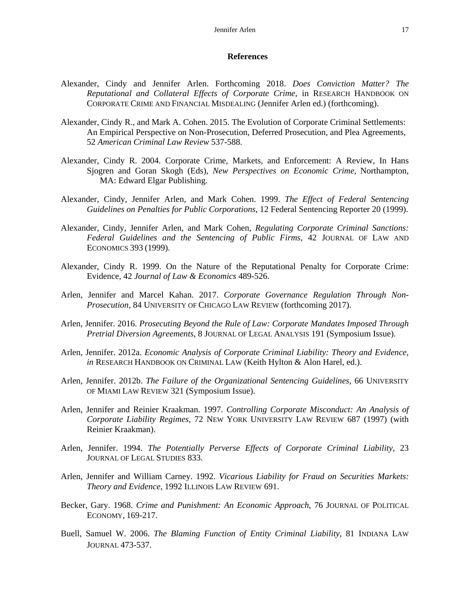#### **References**

- Alexander, Cindy and Jennifer Arlen. Forthcoming 2018. *Does Conviction Matter? The Reputational and Collateral Effects of Corporate Crime*, in RESEARCH HANDBOOK ON CORPORATE CRIME AND FINANCIAL MISDEALING (Jennifer Arlen ed.) (forthcoming).
- Alexander, Cindy R., and Mark A. Cohen. 2015. The Evolution of Corporate Criminal Settlements: An Empirical Perspective on Non-Prosecution, Deferred Prosecution, and Plea Agreements, 52 *American Criminal Law Review* 537-588.
- Alexander, Cindy R. 2004. Corporate Crime, Markets, and Enforcement: A Review, In Hans Sjogren and Goran Skogh (Eds), *New Perspectives on Economic Crime*, Northampton, MA: Edward Elgar Publishing.
- Alexander, Cindy, Jennifer Arlen, and Mark Cohen. 1999. *The Effect of Federal Sentencing Guidelines on Penalties for Public Corporations*, 12 Federal Sentencing Reporter 20 (1999).
- Alexander, Cindy, Jennifer Arlen, and Mark Cohen, *Regulating Corporate Criminal Sanctions: Federal Guidelines and the Sentencing of Public Firms,* 42 JOURNAL OF LAW AND ECONOMICS 393 (1999).
- Alexander, Cindy R. 1999. On the Nature of the Reputational Penalty for Corporate Crime: Evidence, 42 *Journal of Law & Economics* 489-526.
- Arlen, Jennifer and Marcel Kahan. 2017. *Corporate Governance Regulation Through Non-Prosecution*, 84 UNIVERSITY OF CHICAGO LAW REVIEW (forthcoming 2017).
- Arlen, Jennifer. 2016. *Prosecuting Beyond the Rule of Law: Corporate Mandates Imposed Through Pretrial Diversion Agreements*, 8 JOURNAL OF LEGAL ANALYSIS 191 (Symposium Issue).
- Arlen, Jennifer. 2012a. *Economic Analysis of Corporate Criminal Liability: Theory and Evidence, in* RESEARCH HANDBOOK ON CRIMINAL LAW (Keith Hylton & Alon Harel, ed.).
- Arlen, Jennifer. 2012b. *The Failure of the Organizational Sentencing Guidelines*, 66 UNIVERSITY OF MIAMI LAW REVIEW 321 (Symposium Issue).
- Arlen, Jennifer and Reinier Kraakman. 1997. *Controlling Corporate Misconduct: An Analysis of Corporate Liability Regimes*, 72 NEW YORK UNIVERSITY LAW REVIEW 687 (1997) (with Reinier Kraakman).
- Arlen, Jennifer. 1994. *The Potentially Perverse Effects of Corporate Criminal Liability*, 23 JOURNAL OF LEGAL STUDIES 833.
- Arlen, Jennifer and William Carney. 1992. *Vicarious Liability for Fraud on Securities Markets: Theory and Evidence*, 1992 ILLINOIS LAW REVIEW 691.
- Becker, Gary. 1968. *Crime and Punishment: An Economic Approach*, 76 JOURNAL OF POLITICAL ECONOMY, 169-217.
- Buell, Samuel W. 2006. *The Blaming Function of Entity Criminal Liability,* 81 INDIANA LAW JOURNAL 473-537.